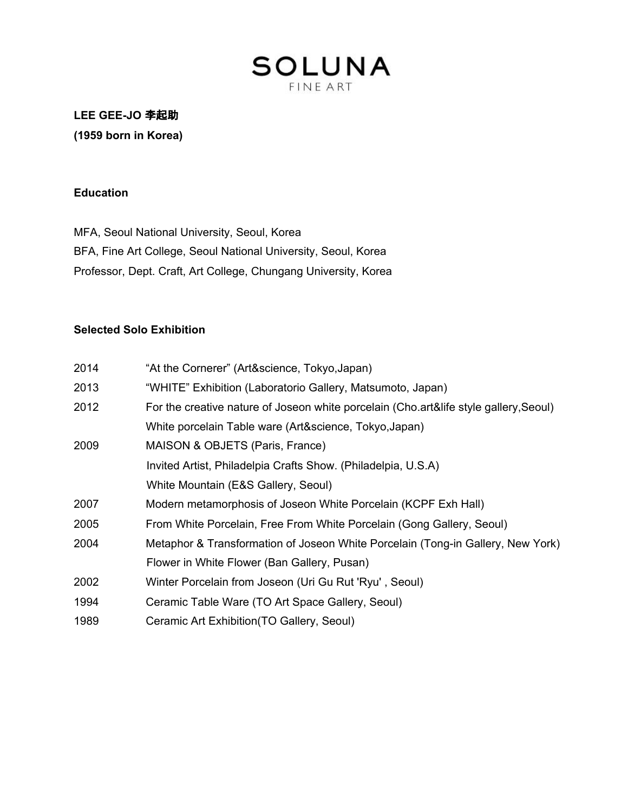## **SOLUNA FINE ART**

**LEE GEE-JO** 李起助 **(1959 born in Korea)**

#### **Education**

MFA, Seoul National University, Seoul, Korea BFA, Fine Art College, Seoul National University, Seoul, Korea Professor, Dept. Craft, Art College, Chungang University, Korea

## **Selected Solo Exhibition**

| 2014 | "At the Cornerer" (Art&science, Tokyo, Japan)                                         |  |
|------|---------------------------------------------------------------------------------------|--|
| 2013 | "WHITE" Exhibition (Laboratorio Gallery, Matsumoto, Japan)                            |  |
| 2012 | For the creative nature of Joseon white porcelain (Cho.art&life style gallery, Seoul) |  |
|      | White porcelain Table ware (Art&science, Tokyo, Japan)                                |  |
| 2009 | MAISON & OBJETS (Paris, France)                                                       |  |
|      | Invited Artist, Philadelpia Crafts Show. (Philadelpia, U.S.A)                         |  |
|      | White Mountain (E&S Gallery, Seoul)                                                   |  |
| 2007 | Modern metamorphosis of Joseon White Porcelain (KCPF Exh Hall)                        |  |
| 2005 | From White Porcelain, Free From White Porcelain (Gong Gallery, Seoul)                 |  |
| 2004 | Metaphor & Transformation of Joseon White Porcelain (Tong-in Gallery, New York)       |  |
|      | Flower in White Flower (Ban Gallery, Pusan)                                           |  |
| 2002 | Winter Porcelain from Joseon (Uri Gu Rut 'Ryu', Seoul)                                |  |
| 1994 | Ceramic Table Ware (TO Art Space Gallery, Seoul)                                      |  |
| 1989 | Ceramic Art Exhibition (TO Gallery, Seoul)                                            |  |